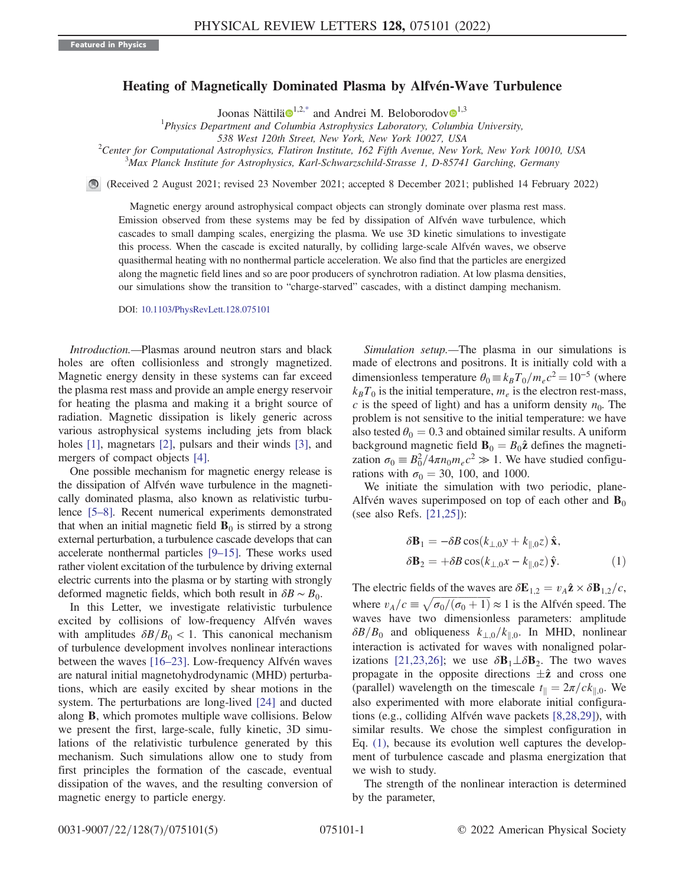## Heating of Magnetically Dominated Plasma by Alfvén-Wave Turbulence

Joonas Nättilä $\mathbf{\Theta}^{1,2,*}$  $\mathbf{\Theta}^{1,2,*}$  $\mathbf{\Theta}^{1,2,*}$  $\mathbf{\Theta}^{1,2,*}$  $\mathbf{\Theta}^{1,2,*}$  and Andrei M. Beloborodov $\mathbf{\Theta}^{1,3}$ 

<sup>1</sup>Physics Department and Columbia Astrophysics Laboratory, Columbia University,

<span id="page-0-1"></span>538 West 120th Street, New York, New York 10027, USA<br><sup>2</sup> Center for Computational Astrophysics, Elatinon Institute, 162 Eith Ayanua, New Y

Center for Computational Astrophysics, Flatiron Institute, 162 Fifth Avenue, New York, New York 10010, USA  $\frac{3}{10}$   $\frac{3}{10}$   $\frac{3}{10}$   $\frac{3}{10}$   $\frac{3}{10}$   $\frac{3}{10}$   $\frac{3}{10}$   $\frac{3}{10}$   $\frac{3}{10}$   $\frac{3}{10}$   $\frac{$ Max Planck Institute for Astrophysics, Karl-Schwarzschild-Strasse 1, D-85741 Garching, Germany

(Received 2 August 2021; revised 23 November 2021; accepted 8 December 2021; published 14 February 2022)

Magnetic energy around astrophysical compact objects can strongly dominate over plasma rest mass. Emission observed from these systems may be fed by dissipation of Alfvén wave turbulence, which cascades to small damping scales, energizing the plasma. We use 3D kinetic simulations to investigate this process. When the cascade is excited naturally, by colliding large-scale Alfvén waves, we observe quasithermal heating with no nonthermal particle acceleration. We also find that the particles are energized along the magnetic field lines and so are poor producers of synchrotron radiation. At low plasma densities, our simulations show the transition to "charge-starved" cascades, with a distinct damping mechanism.

DOI: [10.1103/PhysRevLett.128.075101](https://doi.org/10.1103/PhysRevLett.128.075101)

Introduction.—Plasmas around neutron stars and black holes are often collisionless and strongly magnetized. Magnetic energy density in these systems can far exceed the plasma rest mass and provide an ample energy reservoir for heating the plasma and making it a bright source of radiation. Magnetic dissipation is likely generic across various astrophysical systems including jets from black holes [\[1](#page-4-1)], magnetars [[2\]](#page-4-2), pulsars and their winds [\[3](#page-4-3)], and mergers of compact objects [\[4\]](#page-4-4).

One possible mechanism for magnetic energy release is the dissipation of Alfvén wave turbulence in the magnetically dominated plasma, also known as relativistic turbulence [\[5](#page-4-5)–[8](#page-4-6)]. Recent numerical experiments demonstrated that when an initial magnetic field  $\mathbf{B}_0$  is stirred by a strong external perturbation, a turbulence cascade develops that can accelerate nonthermal particles [\[9](#page-4-7)–[15\]](#page-4-8). These works used rather violent excitation of the turbulence by driving external electric currents into the plasma or by starting with strongly deformed magnetic fields, which both result in  $\delta B \sim B_0$ .

In this Letter, we investigate relativistic turbulence excited by collisions of low-frequency Alfvén waves with amplitudes  $\delta B/B_0 < 1$ . This canonical mechanism of turbulence development involves nonlinear interactions between the waves  $[16–23]$  $[16–23]$  $[16–23]$ . Low-frequency Alfvén waves are natural initial magnetohydrodynamic (MHD) perturbations, which are easily excited by shear motions in the system. The perturbations are long-lived [\[24\]](#page-4-11) and ducted along B, which promotes multiple wave collisions. Below we present the first, large-scale, fully kinetic, 3D simulations of the relativistic turbulence generated by this mechanism. Such simulations allow one to study from first principles the formation of the cascade, eventual dissipation of the waves, and the resulting conversion of magnetic energy to particle energy.

Simulation setup.—The plasma in our simulations is made of electrons and positrons. It is initially cold with a dimensionless temperature  $\theta_0 = k_B T_0/m_e c^2 = 10^{-5}$  (where  $k_BT_0$  is the initial temperature,  $m_e$  is the electron rest-mass, c is the speed of light) and has a uniform density  $n_0$ . The problem is not sensitive to the initial temperature: we have also tested  $\theta_0 = 0.3$  and obtained similar results. A uniform background magnetic field  $\mathbf{B}_0 = B_0 \hat{\mathbf{z}}$  defines the magnetization  $\sigma_0 = B_0^2 / 4\pi n_0 m_e c^2 \gg 1$ . We have studied configurations with  $\sigma_0 = 30$ , 100, and 1000.

<span id="page-0-0"></span>We initiate the simulation with two periodic, plane-Alfvén waves superimposed on top of each other and  $\mathbf{B}_0$ (see also Refs. [\[21](#page-4-12)[,25\]](#page-4-13)):

$$
\delta \mathbf{B}_1 = -\delta B \cos(k_{\perp,0} y + k_{\parallel,0} z) \hat{\mathbf{x}},
$$
  

$$
\delta \mathbf{B}_2 = +\delta B \cos(k_{\perp,0} x - k_{\parallel,0} z) \hat{\mathbf{y}}.
$$
 (1)

The electric fields of the waves are  $\delta \mathbf{E}_{1,2} = v_A \hat{\mathbf{z}} \times \delta \mathbf{B}_{1,2}/c$ , where  $v_A/c \equiv \sqrt{\sigma_0/(\sigma_0 + 1)} \approx 1$  is the Alfvén speed. The waves have two dimensionless parameters: amplitude  $\delta B/B_0$  and obliqueness  $k_{\perp,0}/k_{\parallel,0}$ . In MHD, nonlinear interaction is activated for waves with nonaligned polar-izations [\[21,](#page-4-12)[23](#page-4-10)[,26\]](#page-4-14); we use  $\delta \mathbf{B}_1 \perp \delta \mathbf{B}_2$ . The two waves propagate in the opposite directions  $\pm \hat{z}$  and cross one (parallel) wavelength on the timescale  $t_{\parallel} = 2\pi/ck_{\parallel,0}$ . We also experimented with more elaborate initial configurations (e.g., colliding Alfvén wave packets  $[8,28,29]$  $[8,28,29]$  $[8,28,29]$  $[8,28,29]$  $[8,28,29]$ ), with similar results. We chose the simplest configuration in Eq. [\(1\)](#page-0-0), because its evolution well captures the development of turbulence cascade and plasma energization that we wish to study.

The strength of the nonlinear interaction is determined by the parameter,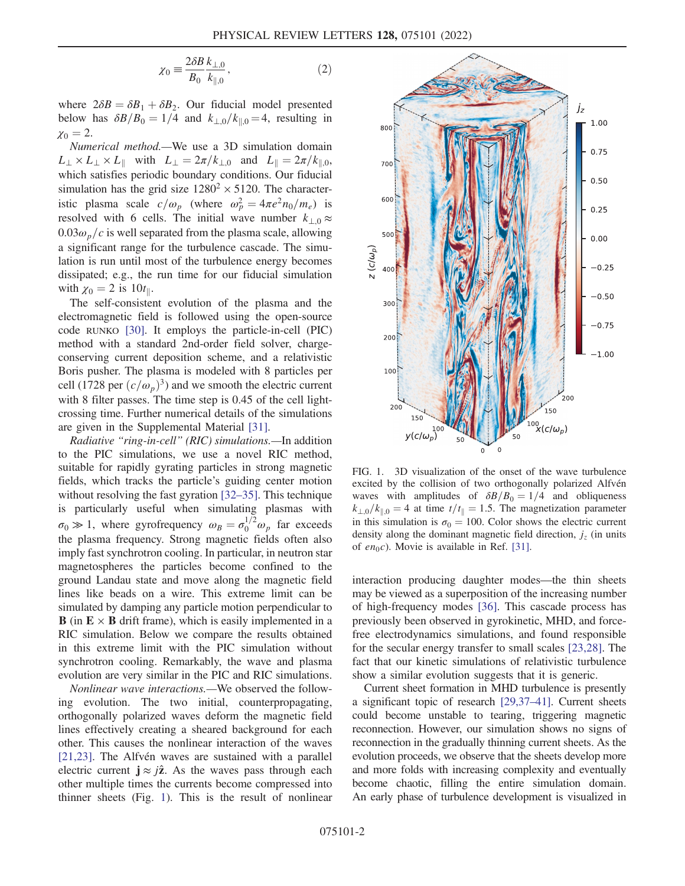$$
\chi_0 = \frac{2\delta B}{B_0} \frac{k_{\perp,0}}{k_{\parallel,0}},\tag{2}
$$

where  $2\delta B = \delta B_1 + \delta B_2$ . Our fiducial model presented below has  $\delta B/B_0 = 1/4$  and  $k_{\perp,0}/k_{\parallel,0} = 4$ , resulting in  $\chi_0 = 2.$ 

Numerical method.—We use a 3D simulation domain  $L_{\perp} \times L_{\perp} \times L_{\parallel}$  with  $L_{\perp} = 2\pi/k_{\perp,0}$  and  $L_{\parallel} = 2\pi/k_{\parallel,0}$ , which satisfies periodic boundary conditions. Our fiducial simulation has the grid size  $1280^2 \times 5120$ . The characteristic plasma scale  $c/\omega_p$  (where  $\omega_p^2 = 4\pi e^2 n_0/m_e$ ) is resolved with 6 cells. The initial wave number  $k_{\perp,0} \approx$  $0.03\omega_p/c$  is well separated from the plasma scale, allowing a significant range for the turbulence cascade. The simulation is run until most of the turbulence energy becomes dissipated; e.g., the run time for our fiducial simulation with  $\chi_0 = 2$  is 10t<sub>||</sub>.

The self-consistent evolution of the plasma and the electromagnetic field is followed using the open-source code RUNKO [\[30\]](#page-4-17). It employs the particle-in-cell (PIC) method with a standard 2nd-order field solver, chargeconserving current deposition scheme, and a relativistic Boris pusher. The plasma is modeled with 8 particles per cell (1728 per  $(c/\omega_p)^3$ ) and we smooth the electric current with 8 filter passes. The time step is 0.45 of the cell lightcrossing time. Further numerical details of the simulations are given in the Supplemental Material [\[31\]](#page-4-18).

Radiative "ring-in-cell" (RIC) simulations.—In addition to the PIC simulations, we use a novel RIC method, suitable for rapidly gyrating particles in strong magnetic fields, which tracks the particle's guiding center motion without resolving the fast gyration [[32](#page-4-19)–[35](#page-4-20)]. This technique is particularly useful when simulating plasmas with  $\sigma_0 \gg 1$ , where gyrofrequency  $\omega_B = \sigma_0^{1/2} \omega_p$  far exceeds the plasma frequency. Strong magnetic fields often also imply fast synchrotron cooling. In particular, in neutron star magnetospheres the particles become confined to the ground Landau state and move along the magnetic field lines like beads on a wire. This extreme limit can be simulated by damping any particle motion perpendicular to **B** (in  $E \times B$  drift frame), which is easily implemented in a RIC simulation. Below we compare the results obtained in this extreme limit with the PIC simulation without synchrotron cooling. Remarkably, the wave and plasma evolution are very similar in the PIC and RIC simulations.

Nonlinear wave interactions.—We observed the following evolution. The two initial, counterpropagating, orthogonally polarized waves deform the magnetic field lines effectively creating a sheared background for each other. This causes the nonlinear interaction of the waves  $[21,23]$  $[21,23]$ . The Alfvén waves are sustained with a parallel electric current  $j \approx j\hat{z}$ . As the waves pass through each other multiple times the currents become compressed into thinner sheets (Fig. [1\)](#page-1-0). This is the result of nonlinear

<span id="page-1-0"></span>

FIG. 1. 3D visualization of the onset of the wave turbulence excited by the collision of two orthogonally polarized Alfvén waves with amplitudes of  $\delta B/B_0 = 1/4$  and obliqueness  $k_{\perp,0}/k_{\parallel,0}=4$  at time  $t/t_{\parallel}=1.5$ . The magnetization parameter in this simulation is  $\sigma_0 = 100$ . Color shows the electric current density along the dominant magnetic field direction,  $j<sub>z</sub>$  (in units of  $en_0c$ ). Movie is available in Ref. [[31](#page-4-18)].

interaction producing daughter modes—the thin sheets may be viewed as a superposition of the increasing number of high-frequency modes [[36](#page-4-21)]. This cascade process has previously been observed in gyrokinetic, MHD, and forcefree electrodynamics simulations, and found responsible for the secular energy transfer to small scales [\[23](#page-4-10)[,28\]](#page-4-15). The fact that our kinetic simulations of relativistic turbulence show a similar evolution suggests that it is generic.

Current sheet formation in MHD turbulence is presently a significant topic of research [[29,](#page-4-16)[37](#page-4-22)–[41](#page-4-23)]. Current sheets could become unstable to tearing, triggering magnetic reconnection. However, our simulation shows no signs of reconnection in the gradually thinning current sheets. As the evolution proceeds, we observe that the sheets develop more and more folds with increasing complexity and eventually become chaotic, filling the entire simulation domain. An early phase of turbulence development is visualized in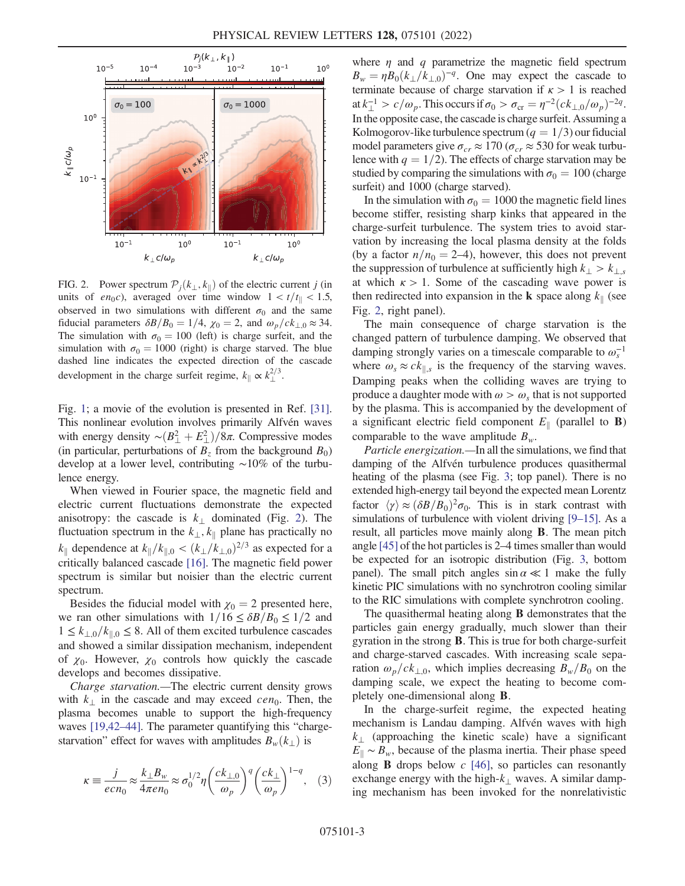<span id="page-2-0"></span>

FIG. 2. Power spectrum  $\mathcal{P}_i(k_\perp, k_\parallel)$  of the electric current j (in units of en<sub>0</sub>c), averaged over time window  $1 < t/t_{\parallel} < 1.5$ , observed in two simulations with different  $\sigma_0$  and the same fiducial parameters  $\delta B/B_0 = 1/4$ ,  $\chi_0 = 2$ , and  $\omega_p / c k_{\perp,0} \approx 34$ . The simulation with  $\sigma_0 = 100$  (left) is charge surfeit, and the simulation with  $\sigma_0 = 1000$  (right) is charge starved. The blue dashed line indicates the expected direction of the cascade development in the charge surfeit regime,  $k_{\parallel} \propto k_{\perp}^{2/3}$ .

Fig. [1](#page-1-0); a movie of the evolution is presented in Ref. [[31](#page-4-18)]. This nonlinear evolution involves primarily Alfvén waves with energy density ∼ $(B_{\perp}^2 + E_{\perp}^2)/8\pi$ . Compressive modes (in particular, perturbations of  $B_7$  from the background  $B_0$ ) develop at a lower level, contributing ∼10% of the turbulence energy.

When viewed in Fourier space, the magnetic field and electric current fluctuations demonstrate the expected anisotropy: the cascade is  $k_{\perp}$  dominated (Fig. [2](#page-2-0)). The fluctuation spectrum in the  $k_{\perp}, k_{\parallel}$  plane has practically no  $k_{\parallel}$  dependence at  $k_{\parallel}/k_{\parallel,0} < (k_{\perp}/k_{\perp,0})^{2/3}$  as expected for a critically balanced cascade [\[16](#page-4-9)]. The magnetic field power spectrum is similar but noisier than the electric current spectrum.

Besides the fiducial model with  $\chi_0 = 2$  presented here, we ran other simulations with  $1/16 \leq \delta B/B_0 \leq 1/2$  and  $1 \leq k_{\perp,0}/k_{\parallel,0} \leq 8$ . All of them excited turbulence cascades and showed a similar dissipation mechanism, independent of  $\chi_0$ . However,  $\chi_0$  controls how quickly the cascade develops and becomes dissipative.

Charge starvation.—The electric current density grows with  $k_{\perp}$  in the cascade and may exceed cen<sub>0</sub>. Then, the plasma becomes unable to support the high-frequency waves [[19](#page-4-24),[42](#page-4-25)–[44](#page-4-26)]. The parameter quantifying this "chargestarvation" effect for waves with amplitudes  $B_w(k_\perp)$  is

$$
\kappa \equiv \frac{j}{ecn_0} \approx \frac{k_\perp B_w}{4\pi en_0} \approx \sigma_0^{1/2} \eta \left(\frac{ck_{\perp,0}}{\omega_p}\right)^q \left(\frac{ck_\perp}{\omega_p}\right)^{1-q}, \quad (3)
$$

where  $\eta$  and q parametrize the magnetic field spectrum  $B_w = \eta B_0 (k_\perp/k_{\perp,0})^{-q}$ . One may expect the cascade to terminate because of charge starvation if  $\kappa > 1$  is reached at  $k_{\perp}^{-1} > c/\omega_p$ . This occurs if  $\sigma_0 > \sigma_{\rm cr} = \eta^{-2} (c k_{\perp,0}/\omega_p)^{-2q}$ . In the opposite case, the cascade is charge surfeit. Assuming a Kolmogorov-like turbulence spectrum  $(q = 1/3)$  our fiducial model parameters give  $\sigma_{cr} \approx 170 \left( \sigma_{cr} \approx 530 \text{ for weak turbu-} \right)$ lence with  $q = 1/2$ . The effects of charge starvation may be studied by comparing the simulations with  $\sigma_0 = 100$  (charge surfeit) and 1000 (charge starved).

In the simulation with  $\sigma_0 = 1000$  the magnetic field lines become stiffer, resisting sharp kinks that appeared in the charge-surfeit turbulence. The system tries to avoid starvation by increasing the local plasma density at the folds (by a factor  $n/n_0 = 2-4$ ), however, this does not prevent the suppression of turbulence at sufficiently high  $k_{\perp} > k_{\perp, s}$ at which  $\kappa > 1$ . Some of the cascading wave power is then redirected into expansion in the **k** space along  $k_{\parallel}$  (see Fig. [2](#page-2-0), right panel).

The main consequence of charge starvation is the changed pattern of turbulence damping. We observed that damping strongly varies on a timescale comparable to  $\omega_s^{-1}$ where  $\omega_s \approx c k_{\parallel,s}$  is the frequency of the starving waves. Damping peaks when the colliding waves are trying to produce a daughter mode with  $\omega > \omega_{s}$  that is not supported by the plasma. This is accompanied by the development of a significant electric field component  $E_{\parallel}$  (parallel to **B**) comparable to the wave amplitude  $B_w$ .

Particle energization.—In all the simulations, we find that damping of the Alfvén turbulence produces quasithermal heating of the plasma (see Fig. [3;](#page-3-0) top panel). There is no extended high-energy tail beyond the expected mean Lorentz factor  $\langle \gamma \rangle \approx (\delta B/B_0)^2 \sigma_0$ . This is in stark contrast with simulations of turbulence with violent driving [\[9](#page-4-7)–[15\]](#page-4-8). As a result, all particles move mainly along B. The mean pitch angle [\[45\]](#page-4-27) of the hot particles is 2–4 times smaller than would be expected for an isotropic distribution (Fig. [3,](#page-3-0) bottom panel). The small pitch angles  $\sin \alpha \ll 1$  make the fully kinetic PIC simulations with no synchrotron cooling similar to the RIC simulations with complete synchrotron cooling.

The quasithermal heating along **B** demonstrates that the particles gain energy gradually, much slower than their gyration in the strong B. This is true for both charge-surfeit and charge-starved cascades. With increasing scale separation  $\omega_p/ck_{\perp,0}$ , which implies decreasing  $B_w/B_0$  on the damping scale, we expect the heating to become completely one-dimensional along B.

In the charge-surfeit regime, the expected heating mechanism is Landau damping. Alfvén waves with high  $k_1$  (approaching the kinetic scale) have a significant  $E_{\parallel} \sim B_{w}$ , because of the plasma inertia. Their phase speed along **B** drops below  $c$  [\[46\]](#page-4-28), so particles can resonantly exchange energy with the high- $k_{\perp}$  waves. A similar damping mechanism has been invoked for the nonrelativistic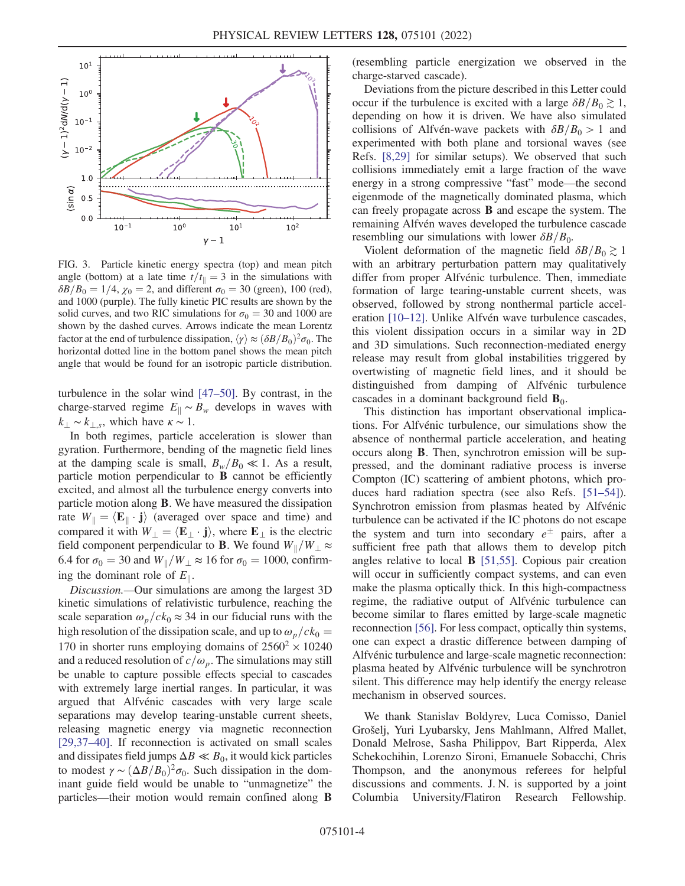<span id="page-3-0"></span>

FIG. 3. Particle kinetic energy spectra (top) and mean pitch angle (bottom) at a late time  $t/t_{\parallel}=3$  in the simulations with  $\delta B/B_0 = 1/4$ ,  $\chi_0 = 2$ , and different  $\sigma_0 = 30$  (green), 100 (red), and 1000 (purple). The fully kinetic PIC results are shown by the solid curves, and two RIC simulations for  $\sigma_0 = 30$  and 1000 are shown by the dashed curves. Arrows indicate the mean Lorentz factor at the end of turbulence dissipation,  $\langle \gamma \rangle \approx (\delta B/B_0)^2 \sigma_0$ . The horizontal dotted line in the bottom panel shows the mean pitch angle that would be found for an isotropic particle distribution.

turbulence in the solar wind [[47](#page-4-29)–[50\]](#page-4-30). By contrast, in the charge-starved regime  $E_{\parallel} \sim B_{w}$  develops in waves with  $k_{\perp} \sim k_{\perp,s}$ , which have  $\kappa \sim 1$ .

In both regimes, particle acceleration is slower than gyration. Furthermore, bending of the magnetic field lines at the damping scale is small,  $B_w/B_0 \ll 1$ . As a result, particle motion perpendicular to B cannot be efficiently excited, and almost all the turbulence energy converts into particle motion along B. We have measured the dissipation rate  $W_{\parallel} = \langle \mathbf{E}_{\parallel} \cdot \mathbf{j} \rangle$  (averaged over space and time) and compared it with  $W_{\perp} = \langle \mathbf{E}_{\perp} \cdot \mathbf{j} \rangle$ , where  $\mathbf{E}_{\perp}$  is the electric field component perpendicular to **B**. We found  $W_{\parallel}/W_{\perp} \approx$ 6.4 for  $\sigma_0 = 30$  and  $W_{\parallel}/W_{\perp} \approx 16$  for  $\sigma_0 = 1000$ , confirming the dominant role of  $E_{\parallel}$ .

Discussion.—Our simulations are among the largest 3D kinetic simulations of relativistic turbulence, reaching the scale separation  $\omega_p/ck_0 \approx 34$  in our fiducial runs with the high resolution of the dissipation scale, and up to  $\omega_p/ck_0 =$ 170 in shorter runs employing domains of  $2560^2 \times 10240$ and a reduced resolution of  $c/\omega_p$ . The simulations may still be unable to capture possible effects special to cascades with extremely large inertial ranges. In particular, it was argued that Alfvénic cascades with very large scale separations may develop tearing-unstable current sheets, releasing magnetic energy via magnetic reconnection [\[29](#page-4-16)[,37](#page-4-22)–[40\]](#page-4-31). If reconnection is activated on small scales and dissipates field jumps  $\Delta B \ll B_0$ , it would kick particles to modest  $\gamma \sim (\Delta B/B_0)^2 \sigma_0$ . Such dissipation in the dominant guide field would be unable to "unmagnetize" the particles—their motion would remain confined along B (resembling particle energization we observed in the charge-starved cascade).

Deviations from the picture described in this Letter could occur if the turbulence is excited with a large  $\delta B/B_0 \gtrsim 1$ , depending on how it is driven. We have also simulated collisions of Alfvén-wave packets with  $\delta B/B_0 > 1$  and experimented with both plane and torsional waves (see Refs. [\[8](#page-4-6),[29](#page-4-16)] for similar setups). We observed that such collisions immediately emit a large fraction of the wave energy in a strong compressive "fast" mode—the second eigenmode of the magnetically dominated plasma, which can freely propagate across B and escape the system. The remaining Alfvén waves developed the turbulence cascade resembling our simulations with lower  $\delta B/B_0$ .

Violent deformation of the magnetic field  $\delta B/B_0 \gtrsim 1$ with an arbitrary perturbation pattern may qualitatively differ from proper Alfvénic turbulence. Then, immediate formation of large tearing-unstable current sheets, was observed, followed by strong nonthermal particle accel-eration [\[10](#page-4-32)–[12\]](#page-4-33). Unlike Alfvén wave turbulence cascades, this violent dissipation occurs in a similar way in 2D and 3D simulations. Such reconnection-mediated energy release may result from global instabilities triggered by overtwisting of magnetic field lines, and it should be distinguished from damping of Alfvénic turbulence cascades in a dominant background field  $\mathbf{B}_0$ .

This distinction has important observational implications. For Alfvénic turbulence, our simulations show the absence of nonthermal particle acceleration, and heating occurs along B. Then, synchrotron emission will be suppressed, and the dominant radiative process is inverse Compton (IC) scattering of ambient photons, which produces hard radiation spectra (see also Refs. [\[51](#page-4-34)–[54\]](#page-4-35)). Synchrotron emission from plasmas heated by Alfvénic turbulence can be activated if the IC photons do not escape the system and turn into secondary  $e^{\pm}$  pairs, after a sufficient free path that allows them to develop pitch angles relative to local B [\[51](#page-4-34)[,55\]](#page-4-36). Copious pair creation will occur in sufficiently compact systems, and can even make the plasma optically thick. In this high-compactness regime, the radiative output of Alfvénic turbulence can become similar to flares emitted by large-scale magnetic reconnection [\[56\]](#page-4-37). For less compact, optically thin systems, one can expect a drastic difference between damping of Alfvénic turbulence and large-scale magnetic reconnection: plasma heated by Alfvénic turbulence will be synchrotron silent. This difference may help identify the energy release mechanism in observed sources.

We thank Stanislav Boldyrev, Luca Comisso, Daniel Grošelj, Yuri Lyubarsky, Jens Mahlmann, Alfred Mallet, Donald Melrose, Sasha Philippov, Bart Ripperda, Alex Schekochihin, Lorenzo Sironi, Emanuele Sobacchi, Chris Thompson, and the anonymous referees for helpful discussions and comments. J. N. is supported by a joint Columbia University/Flatiron Research Fellowship.